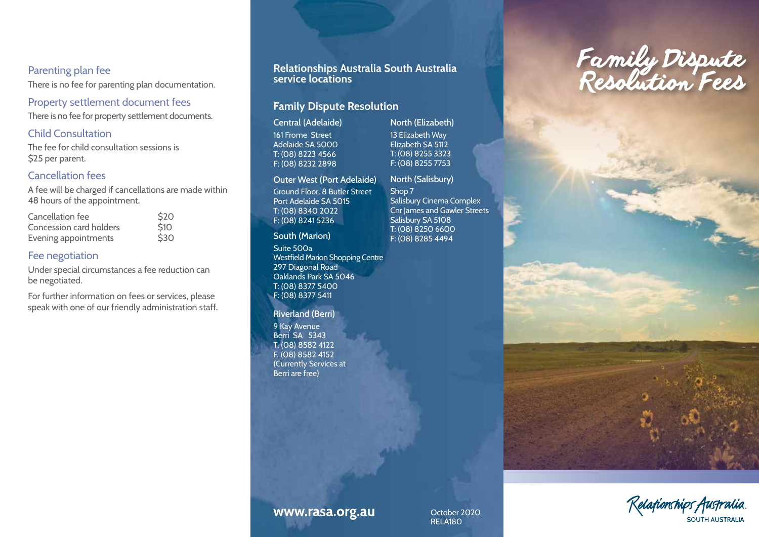## Parenting plan fee

There is no fee for parenting plan documentation.

Property settlement document fees There is no fee for property settlement documents.

### Child Consultation

The fee for child consultation sessions is \$25 per parent.

## Cancellation fees

A fee will be charged if cancellations are made within 48 hours of the appointment.

| Cancellation fee        | \$20 |
|-------------------------|------|
| Concession card holders | \$10 |
| Evening appointments    | \$30 |

## Fee negotiation

Under special circumstances a fee reduction can be negotiated.

For further information on fees or services, please speak with one of our friendly administration staff.

# **service locations**

## **Family Dispute Resolution**

Central (Adelaide) 161 Frome Street Adelaide SA 5000 T: (08) 8223 4566 F: (08) 8232 2898

#### Outer West (Port Adelaide)

Ground Floor, 8 Butler Street Port Adelaide SA 5015 T: (08) 8340 2022 F: (08) 8241 5236

#### South (Marion)

Suite 500a Westfield Marion Shopping Centre 297 Diagonal Road Oaklands Park SA 5046 T: (08) 8377 5400 F: (08) 8377 5411

#### Riverland (Berri)

9 Kay Avenue Berri SA 5343 T. (08) 8582 4122 F. (08) 8582 4152 (Currently Services at Berri are free)

North (Elizabeth) 13 Elizabeth Way Elizabeth SA 5112 T: (08) 8255 3323 F: (08) 8255 7753

## North (Salisbury)

Shop 7 Salisbury Cinema Complex Cnr James and Gawler Streets Salisbury SA 5108 T: (08) 8250 6600 F: (08) 8285 4494





# www.rasa.org.au

October 2020 RELA180